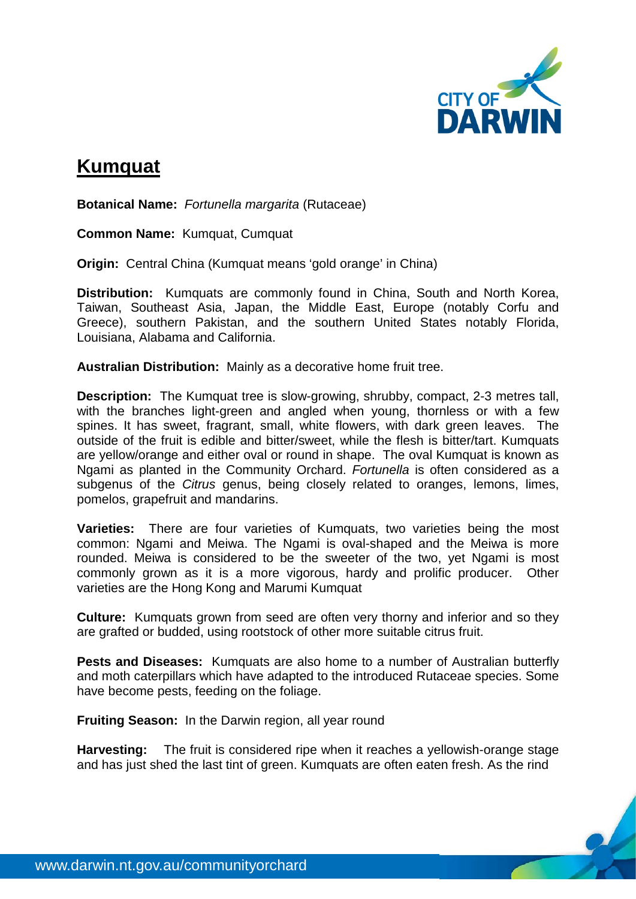

## **Kumquat**

**Botanical Name:** *Fortunella margarita* (Rutaceae)

**Common Name:** Kumquat, Cumquat

**Origin:** Central China (Kumquat means 'gold orange' in China)

**Distribution:** Kumquats are commonly found in China, South and North Korea, Taiwan, Southeast Asia, Japan, the Middle East, Europe (notably Corfu and Greece), southern Pakistan, and the southern United States notably Florida, Louisiana, Alabama and California.

**Australian Distribution:** Mainly as a decorative home fruit tree.

**Description:** The Kumquat tree is slow-growing, shrubby, compact, 2-3 metres tall, with the branches light-green and angled when young, thornless or with a few spines. It has sweet, fragrant, small, white flowers, with dark green leaves. The outside of the fruit is edible and bitter/sweet, while the flesh is bitter/tart. Kumquats are yellow/orange and either oval or round in shape. The oval Kumquat is known as Ngami as planted in the Community Orchard. *Fortunella* is often considered as a subgenus of the *Citrus* genus, being closely related to oranges, lemons, limes, pomelos, grapefruit and mandarins.

**Varieties:** There are four varieties of Kumquats, two varieties being the most common: Ngami and Meiwa. The Ngami is oval-shaped and the Meiwa is more rounded. Meiwa is considered to be the sweeter of the two, yet Ngami is most commonly grown as it is a more vigorous, hardy and prolific producer. Other varieties are the Hong Kong and Marumi Kumquat

**Culture:** Kumquats grown from seed are often very thorny and inferior and so they are grafted or budded, using rootstock of other more suitable citrus fruit.

**Pests and Diseases:** Kumquats are also home to a number of Australian butterfly and moth caterpillars which have adapted to the introduced Rutaceae species. Some have become pests, feeding on the foliage.

**Fruiting Season:** In the Darwin region, all year round

**Harvesting:** The fruit is considered ripe when it reaches a yellowish-orange stage and has just shed the last tint of green. Kumquats are often eaten fresh. As the rind